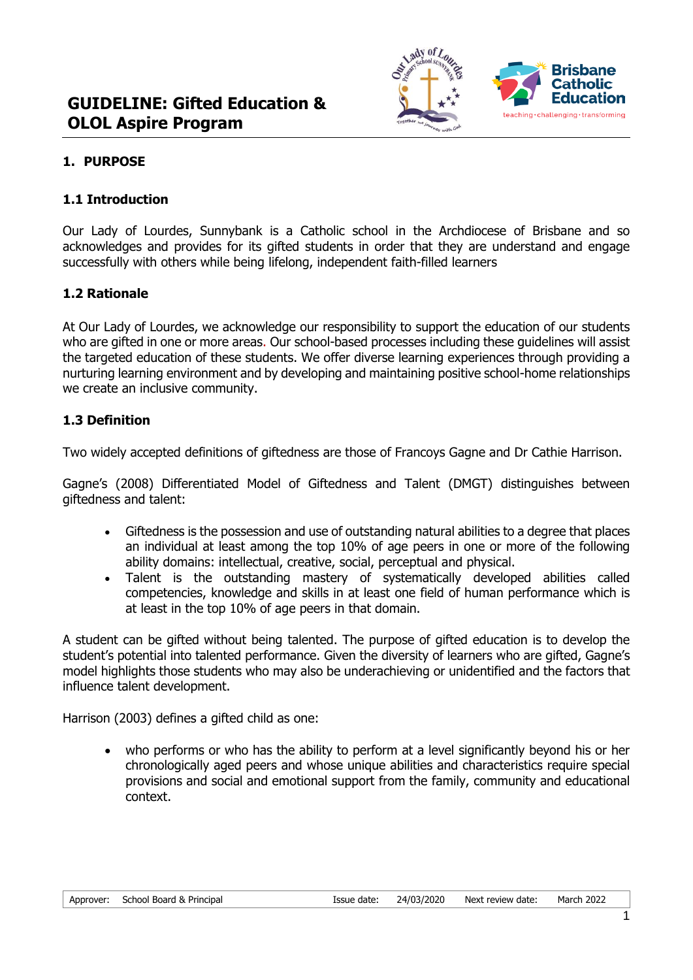

# **1. PURPOSE**

## **1.1 Introduction**

Our Lady of Lourdes, Sunnybank is a Catholic school in the Archdiocese of Brisbane and so acknowledges and provides for its gifted students in order that they are understand and engage successfully with others while being lifelong, independent faith-filled learners

## **1.2 Rationale**

At Our Lady of Lourdes, we acknowledge our responsibility to support the education of our students who are gifted in one or more areas. Our school-based processes including these guidelines will assist the targeted education of these students. We offer diverse learning experiences through providing a nurturing learning environment and by developing and maintaining positive school-home relationships we create an inclusive community.

## **1.3 Definition**

Two widely accepted definitions of giftedness are those of Francoys Gagne and Dr Cathie Harrison.

Gagne's (2008) Differentiated Model of Giftedness and Talent (DMGT) distinguishes between giftedness and talent:

- Giftedness is the possession and use of outstanding natural abilities to a degree that places an individual at least among the top 10% of age peers in one or more of the following ability domains: intellectual, creative, social, perceptual and physical.
- Talent is the outstanding mastery of systematically developed abilities called competencies, knowledge and skills in at least one field of human performance which is at least in the top 10% of age peers in that domain.

A student can be gifted without being talented. The purpose of gifted education is to develop the student's potential into talented performance. Given the diversity of learners who are gifted, Gagne's model highlights those students who may also be underachieving or unidentified and the factors that influence talent development.

Harrison (2003) defines a gifted child as one:

• who performs or who has the ability to perform at a level significantly beyond his or her chronologically aged peers and whose unique abilities and characteristics require special provisions and social and emotional support from the family, community and educational context.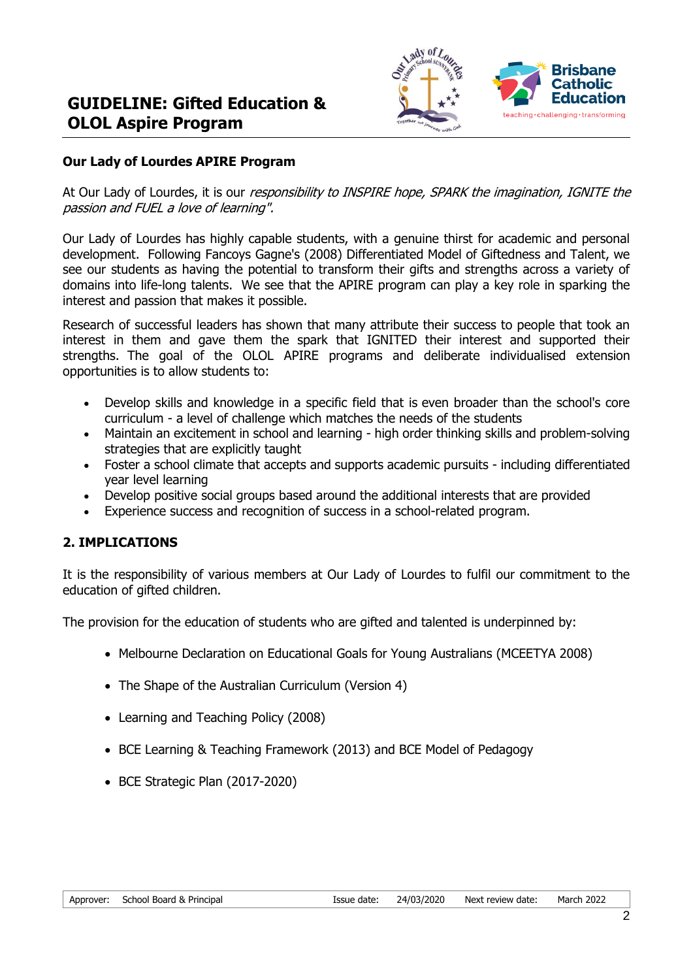

## **Our Lady of Lourdes APIRE Program**

At Our Lady of Lourdes, it is our *responsibility to INSPIRE hope, SPARK the imagination, IGNITE the* passion and FUEL a love of learning".

Our Lady of Lourdes has highly capable students, with a genuine thirst for academic and personal development. Following Fancoys Gagne's (2008) Differentiated Model of Giftedness and Talent, we see our students as having the potential to transform their gifts and strengths across a variety of domains into life-long talents. We see that the APIRE program can play a key role in sparking the interest and passion that makes it possible.

Research of successful leaders has shown that many attribute their success to people that took an interest in them and gave them the spark that IGNITED their interest and supported their strengths. The goal of the OLOL APIRE programs and deliberate individualised extension opportunities is to allow students to:

- Develop skills and knowledge in a specific field that is even broader than the school's core curriculum - a level of challenge which matches the needs of the students
- Maintain an excitement in school and learning high order thinking skills and problem-solving strategies that are explicitly taught
- Foster a school climate that accepts and supports academic pursuits including differentiated year level learning
- Develop positive social groups based around the additional interests that are provided
- Experience success and recognition of success in a school-related program.

## **2. IMPLICATIONS**

It is the responsibility of various members at Our Lady of Lourdes to fulfil our commitment to the education of gifted children.

The provision for the education of students who are gifted and talented is underpinned by:

- Melbourne Declaration on Educational Goals for Young Australians (MCEETYA 2008)
- The Shape of the Australian Curriculum (Version 4)
- Learning and Teaching Policy (2008)
- BCE Learning & Teaching Framework (2013) and BCE Model of Pedagogy
- BCE Strategic Plan (2017-2020)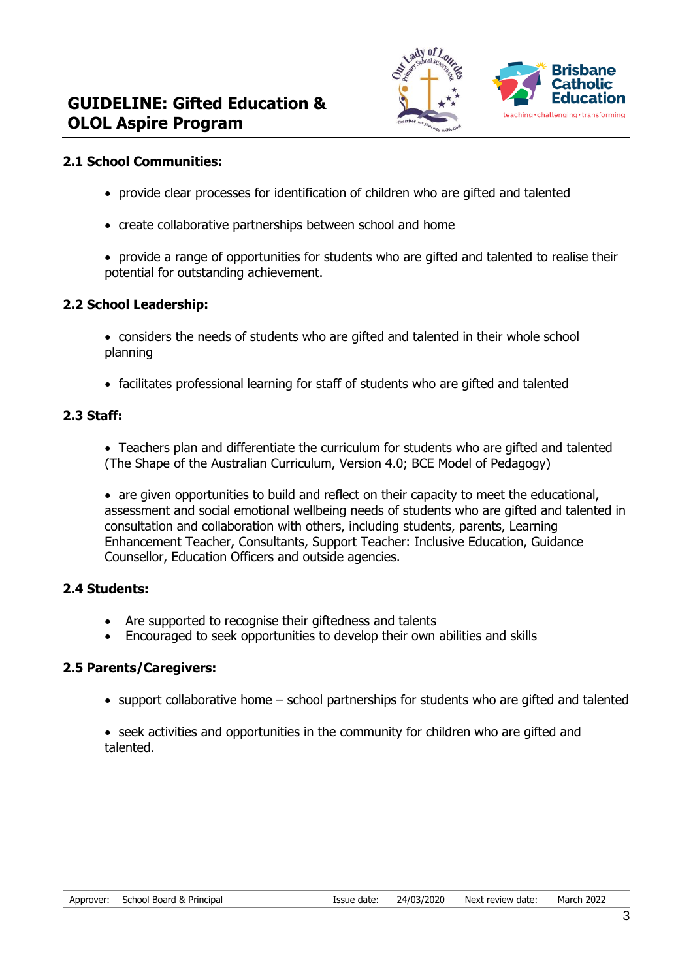

### **2.1 School Communities:**

- provide clear processes for identification of children who are gifted and talented
- create collaborative partnerships between school and home
- provide a range of opportunities for students who are gifted and talented to realise their potential for outstanding achievement.

#### **2.2 School Leadership:**

- considers the needs of students who are gifted and talented in their whole school planning
- facilitates professional learning for staff of students who are gifted and talented

#### **2.3 Staff:**

• Teachers plan and differentiate the curriculum for students who are gifted and talented (The Shape of the Australian Curriculum, Version 4.0; BCE Model of Pedagogy)

• are given opportunities to build and reflect on their capacity to meet the educational, assessment and social emotional wellbeing needs of students who are gifted and talented in consultation and collaboration with others, including students, parents, Learning Enhancement Teacher, Consultants, Support Teacher: Inclusive Education, Guidance Counsellor, Education Officers and outside agencies.

#### **2.4 Students:**

- Are supported to recognise their giftedness and talents
- Encouraged to seek opportunities to develop their own abilities and skills

#### **2.5 Parents/Caregivers:**

- support collaborative home school partnerships for students who are gifted and talented
- seek activities and opportunities in the community for children who are gifted and talented.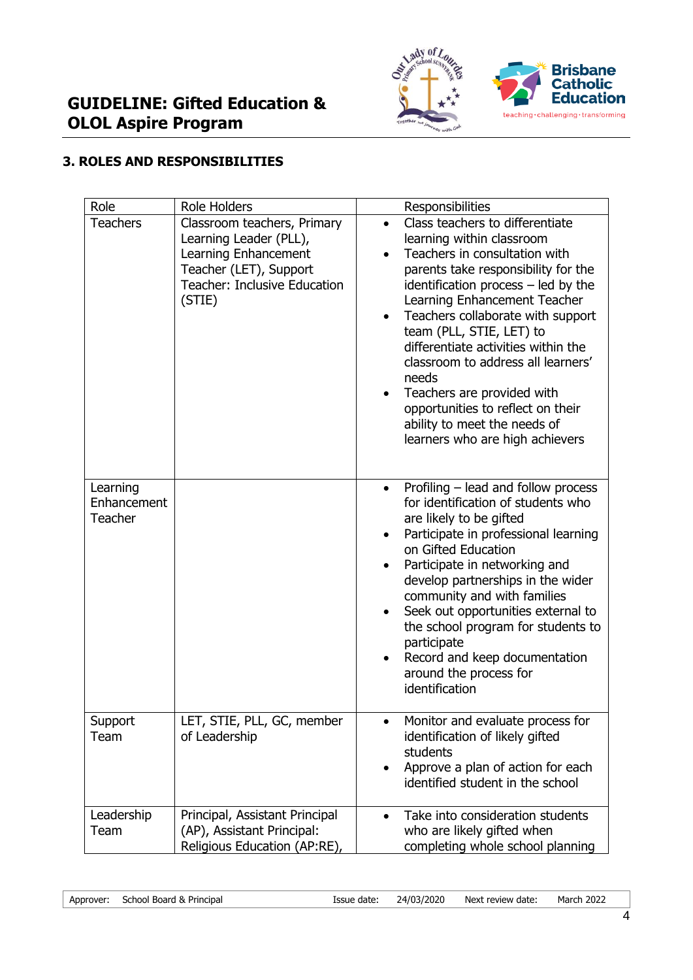

# **3. ROLES AND RESPONSIBILITIES**

| Role                               | <b>Role Holders</b>                                                                                                                               | Responsibilities                                                                                                                                                                                                                                                                                                                                                                                                                                                                                                                   |
|------------------------------------|---------------------------------------------------------------------------------------------------------------------------------------------------|------------------------------------------------------------------------------------------------------------------------------------------------------------------------------------------------------------------------------------------------------------------------------------------------------------------------------------------------------------------------------------------------------------------------------------------------------------------------------------------------------------------------------------|
| <b>Teachers</b>                    | Classroom teachers, Primary<br>Learning Leader (PLL),<br>Learning Enhancement<br>Teacher (LET), Support<br>Teacher: Inclusive Education<br>(STIE) | Class teachers to differentiate<br>$\bullet$<br>learning within classroom<br>Teachers in consultation with<br>$\bullet$<br>parents take responsibility for the<br>identification process - led by the<br>Learning Enhancement Teacher<br>Teachers collaborate with support<br>team (PLL, STIE, LET) to<br>differentiate activities within the<br>classroom to address all learners'<br>needs<br>Teachers are provided with<br>opportunities to reflect on their<br>ability to meet the needs of<br>learners who are high achievers |
| Learning<br>Enhancement<br>Teacher |                                                                                                                                                   | Profiling - lead and follow process<br>for identification of students who<br>are likely to be gifted<br>Participate in professional learning<br>on Gifted Education<br>Participate in networking and<br>develop partnerships in the wider<br>community and with families<br>Seek out opportunities external to<br>the school program for students to<br>participate<br>Record and keep documentation<br>around the process for<br>identification                                                                                   |
| Support<br>Team                    | LET, STIE, PLL, GC, member<br>of Leadership                                                                                                       | Monitor and evaluate process for<br>identification of likely gifted<br>students<br>Approve a plan of action for each<br>$\bullet$<br>identified student in the school                                                                                                                                                                                                                                                                                                                                                              |
| Leadership<br>Team                 | Principal, Assistant Principal<br>(AP), Assistant Principal:<br>Religious Education (AP:RE),                                                      | Take into consideration students<br>who are likely gifted when<br>completing whole school planning                                                                                                                                                                                                                                                                                                                                                                                                                                 |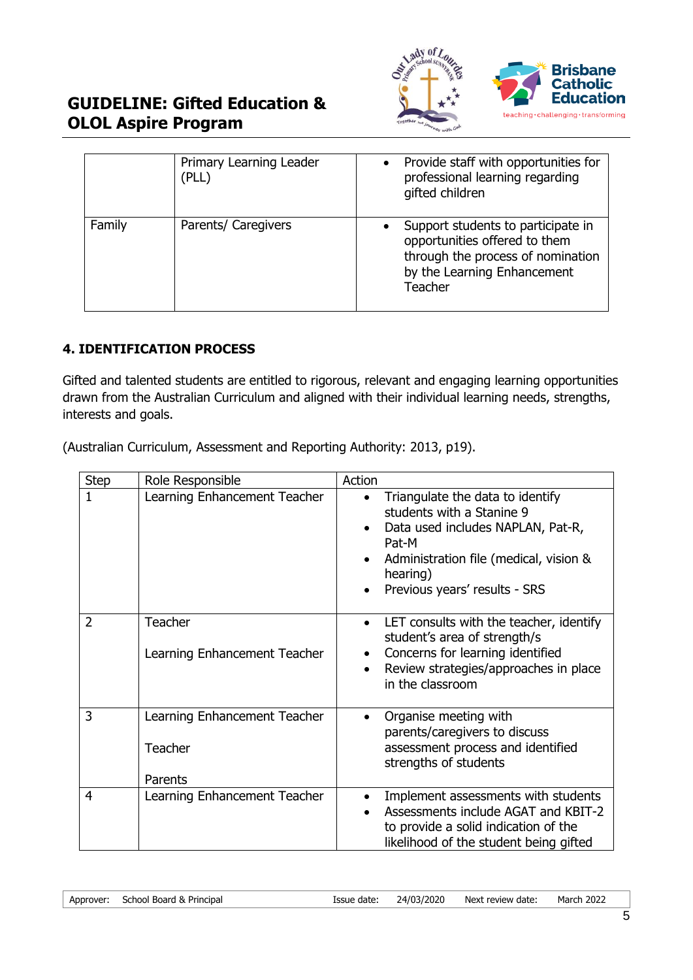

# **GUIDELINE: Gifted Education & OLOL Aspire Program**

|        | Primary Learning Leader<br>(PLL) | $\bullet$ | Provide staff with opportunities for<br>professional learning regarding<br>gifted children                                                         |
|--------|----------------------------------|-----------|----------------------------------------------------------------------------------------------------------------------------------------------------|
| Family | Parents/ Caregivers              |           | Support students to participate in<br>opportunities offered to them<br>through the process of nomination<br>by the Learning Enhancement<br>Teacher |

# **4. IDENTIFICATION PROCESS**

Gifted and talented students are entitled to rigorous, relevant and engaging learning opportunities drawn from the Australian Curriculum and aligned with their individual learning needs, strengths, interests and goals.

(Australian Curriculum, Assessment and Reporting Authority: 2013, p19).

| <b>Step</b> | Role Responsible                                   | Action                                                                                                                                                                                                          |
|-------------|----------------------------------------------------|-----------------------------------------------------------------------------------------------------------------------------------------------------------------------------------------------------------------|
| 1           | Learning Enhancement Teacher                       | Triangulate the data to identify<br>$\bullet$<br>students with a Stanine 9<br>Data used includes NAPLAN, Pat-R,<br>Pat-M<br>Administration file (medical, vision &<br>hearing)<br>Previous years' results - SRS |
| 2           | <b>Teacher</b><br>Learning Enhancement Teacher     | LET consults with the teacher, identify<br>$\bullet$<br>student's area of strength/s<br>Concerns for learning identified<br>Review strategies/approaches in place<br>in the classroom                           |
| 3           | Learning Enhancement Teacher<br>Teacher<br>Parents | Organise meeting with<br>parents/caregivers to discuss<br>assessment process and identified<br>strengths of students                                                                                            |
| 4           | Learning Enhancement Teacher                       | Implement assessments with students<br>Assessments include AGAT and KBIT-2<br>to provide a solid indication of the<br>likelihood of the student being gifted                                                    |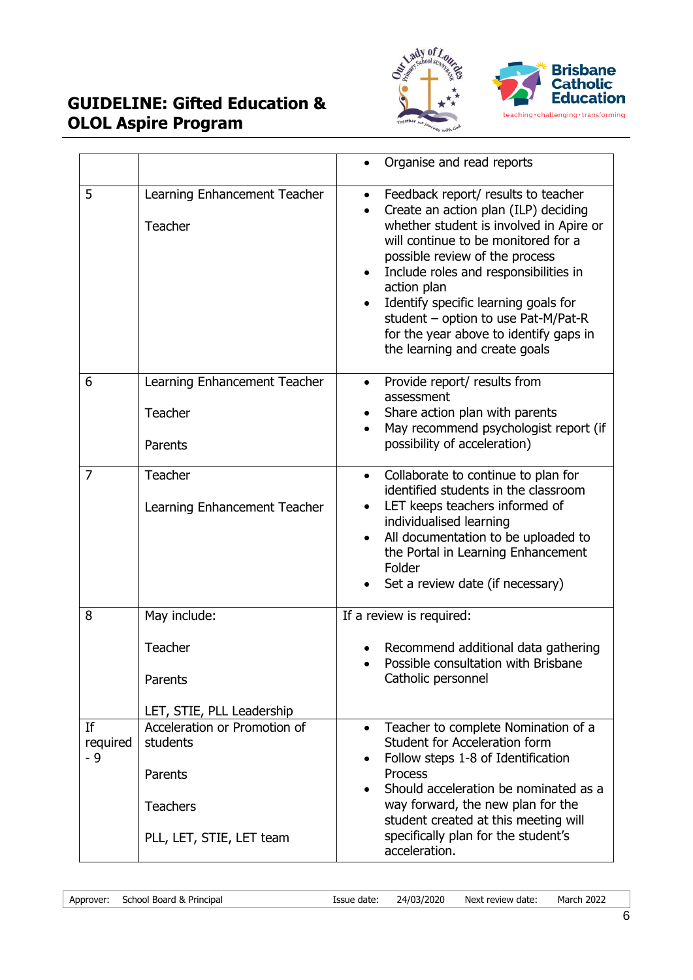

# **GUIDELINE: Gifted Education & OLOL Aspire Program**

|                       |                                                                                                    | Organise and read reports                                                                                                                                                                                                                                                                                                                                                                                                      |
|-----------------------|----------------------------------------------------------------------------------------------------|--------------------------------------------------------------------------------------------------------------------------------------------------------------------------------------------------------------------------------------------------------------------------------------------------------------------------------------------------------------------------------------------------------------------------------|
| 5                     | Learning Enhancement Teacher<br>Teacher                                                            | Feedback report/ results to teacher<br>$\bullet$<br>Create an action plan (ILP) deciding<br>whether student is involved in Apire or<br>will continue to be monitored for a<br>possible review of the process<br>Include roles and responsibilities in<br>action plan<br>Identify specific learning goals for<br>student - option to use Pat-M/Pat-R<br>for the year above to identify gaps in<br>the learning and create goals |
| 6                     | Learning Enhancement Teacher<br>Teacher<br>Parents                                                 | Provide report/ results from<br>$\bullet$<br>assessment<br>Share action plan with parents<br>May recommend psychologist report (if<br>possibility of acceleration)                                                                                                                                                                                                                                                             |
| $\overline{7}$        | Teacher<br>Learning Enhancement Teacher                                                            | Collaborate to continue to plan for<br>$\bullet$<br>identified students in the classroom<br>LET keeps teachers informed of<br>individualised learning<br>All documentation to be uploaded to<br>the Portal in Learning Enhancement<br>Folder<br>Set a review date (if necessary)                                                                                                                                               |
| 8                     | May include:<br>Teacher<br>Parents<br>LET, STIE, PLL Leadership                                    | If a review is required:<br>Recommend additional data gathering<br>Possible consultation with Brisbane<br>Catholic personnel                                                                                                                                                                                                                                                                                                   |
| If<br>required<br>- 9 | Acceleration or Promotion of<br>students<br>Parents<br><b>Teachers</b><br>PLL, LET, STIE, LET team | Teacher to complete Nomination of a<br>$\bullet$<br>Student for Acceleration form<br>Follow steps 1-8 of Identification<br><b>Process</b><br>Should acceleration be nominated as a<br>way forward, the new plan for the<br>student created at this meeting will<br>specifically plan for the student's<br>acceleration.                                                                                                        |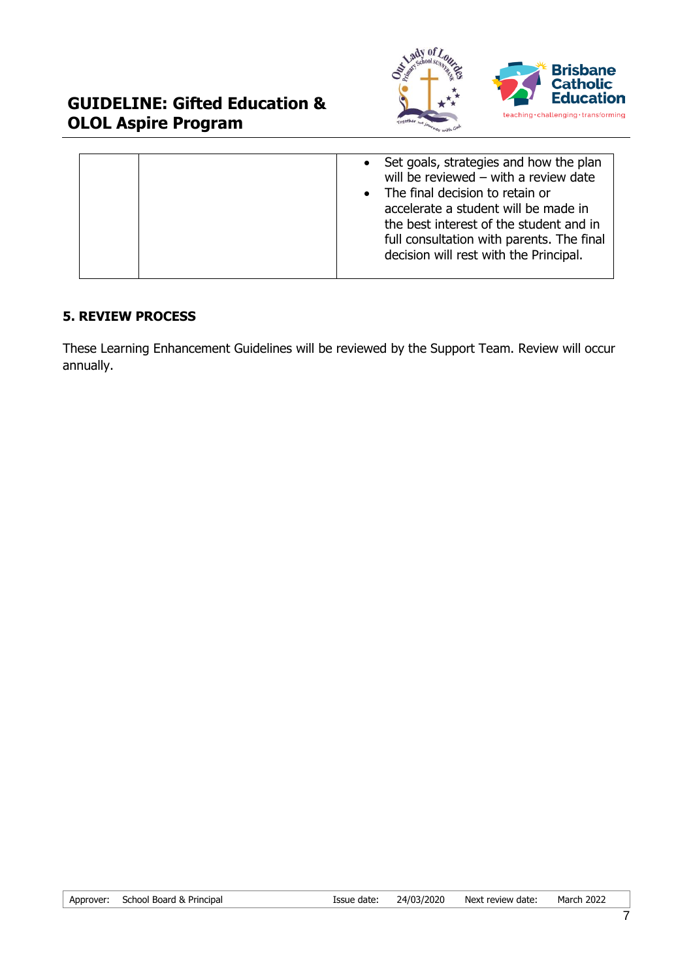

## **5. REVIEW PROCESS**

These Learning Enhancement Guidelines will be reviewed by the Support Team. Review will occur annually.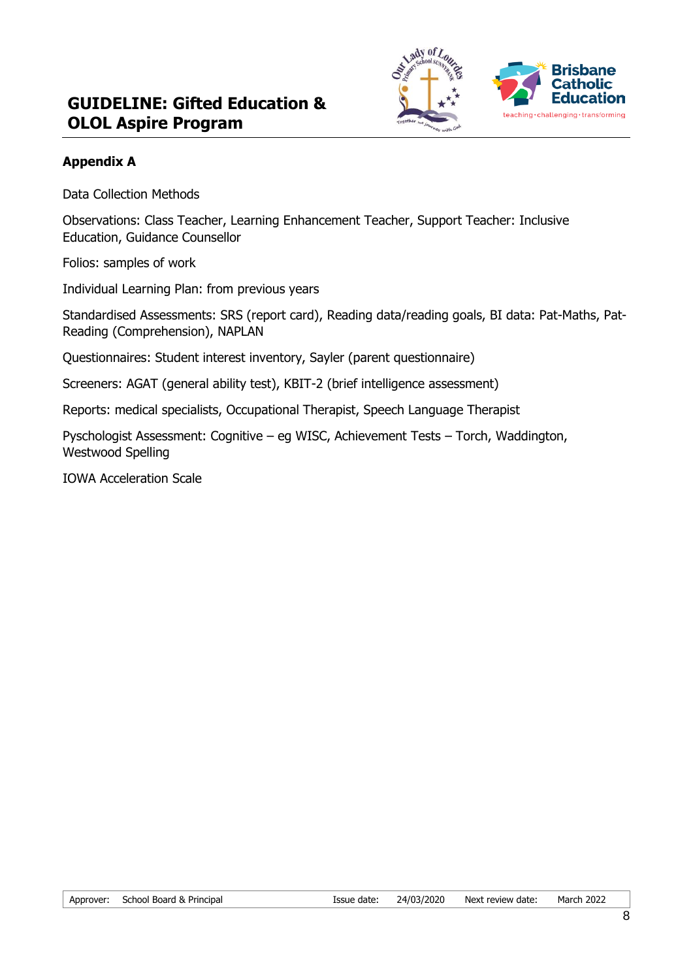

# **Appendix A**

Data Collection Methods

Observations: Class Teacher, Learning Enhancement Teacher, Support Teacher: Inclusive Education, Guidance Counsellor

Folios: samples of work

Individual Learning Plan: from previous years

Standardised Assessments: SRS (report card), Reading data/reading goals, BI data: Pat-Maths, Pat-Reading (Comprehension), NAPLAN

Questionnaires: Student interest inventory, Sayler (parent questionnaire)

Screeners: AGAT (general ability test), KBIT-2 (brief intelligence assessment)

Reports: medical specialists, Occupational Therapist, Speech Language Therapist

Pyschologist Assessment: Cognitive – eg WISC, Achievement Tests – Torch, Waddington, Westwood Spelling

IOWA Acceleration Scale